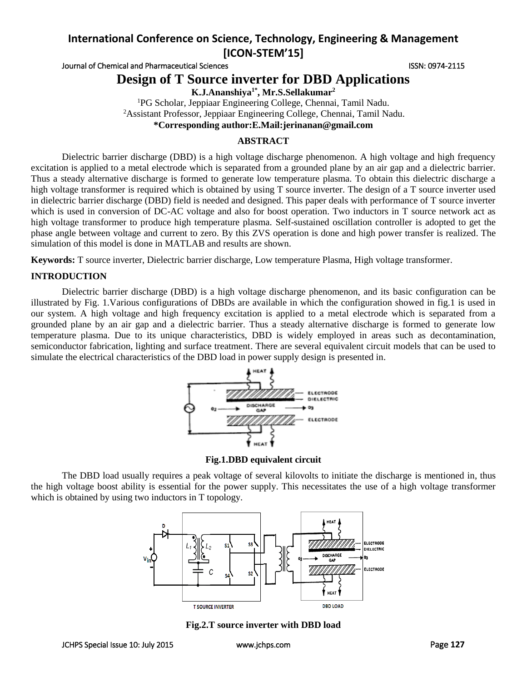Journal of Chemical and Pharmaceutical Sciences **ISSN: 0974-2115** ISSN: 0974-2115

## **Design of T Source inverter for DBD Applications**

**K.J.Ananshiya1\* , Mr.S.Sellakumar<sup>2</sup>**

<sup>1</sup>PG Scholar, Jeppiaar Engineering College, Chennai, Tamil Nadu.

<sup>2</sup>Assistant Professor, Jeppiaar Engineering College, Chennai, Tamil Nadu.

**\*Corresponding author:E.Mail:jerinanan@gmail.com**

## **ABSTRACT**

Dielectric barrier discharge (DBD) is a high voltage discharge phenomenon. A high voltage and high frequency excitation is applied to a metal electrode which is separated from a grounded plane by an air gap and a dielectric barrier. Thus a steady alternative discharge is formed to generate low temperature plasma. To obtain this dielectric discharge a high voltage transformer is required which is obtained by using T source inverter. The design of a T source inverter used in dielectric barrier discharge (DBD) field is needed and designed. This paper deals with performance of T source inverter which is used in conversion of DC-AC voltage and also for boost operation. Two inductors in T source network act as high voltage transformer to produce high temperature plasma. Self-sustained oscillation controller is adopted to get the phase angle between voltage and current to zero. By this ZVS operation is done and high power transfer is realized. The simulation of this model is done in MATLAB and results are shown.

**Keywords:** T source inverter, Dielectric barrier discharge, Low temperature Plasma, High voltage transformer.

## **INTRODUCTION**

Dielectric barrier discharge (DBD) is a high voltage discharge phenomenon, and its basic configuration can be illustrated by Fig. 1.Various configurations of DBDs are available in which the configuration showed in fig.1 is used in our system. A high voltage and high frequency excitation is applied to a metal electrode which is separated from a grounded plane by an air gap and a dielectric barrier. Thus a steady alternative discharge is formed to generate low temperature plasma. Due to its unique characteristics, DBD is widely employed in areas such as decontamination, semiconductor fabrication, lighting and surface treatment. There are several equivalent circuit models that can be used to simulate the electrical characteristics of the DBD load in power supply design is presented in.



**Fig.1.DBD equivalent circuit**

The DBD load usually requires a peak voltage of several kilovolts to initiate the discharge is mentioned in, thus the high voltage boost ability is essential for the power supply. This necessitates the use of a high voltage transformer which is obtained by using two inductors in T topology.



**Fig.2.T source inverter with DBD load**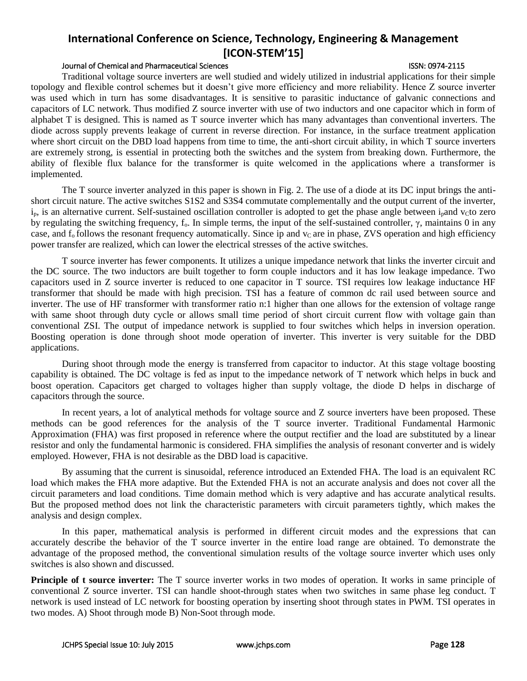### Journal of Chemical and Pharmaceutical Sciences ISSN: 0974-2115

Traditional voltage source inverters are well studied and widely utilized in industrial applications for their simple topology and flexible control schemes but it doesn't give more efficiency and more reliability. Hence Z source inverter was used which in turn has some disadvantages. It is sensitive to parasitic inductance of galvanic connections and capacitors of LC network. Thus modified Z source inverter with use of two inductors and one capacitor which in form of alphabet T is designed. This is named as T source inverter which has many advantages than conventional inverters. The diode across supply prevents leakage of current in reverse direction. For instance, in the surface treatment application where short circuit on the DBD load happens from time to time, the anti-short circuit ability, in which T source inverters are extremely strong, is essential in protecting both the switches and the system from breaking down. Furthermore, the ability of flexible flux balance for the transformer is quite welcomed in the applications where a transformer is implemented.

The T source inverter analyzed in this paper is shown in Fig. 2. The use of a diode at its DC input brings the antishort circuit nature. The active switches S1S2 and S3S4 commutate complementally and the output current of the inverter,  $i_p$ , is an alternative current. Self-sustained oscillation controller is adopted to get the phase angle between  $i_p$  and vcto zero by regulating the switching frequency,  $f_0$ . In simple terms, the input of the self-sustained controller, γ, maintains 0 in any case, and  $f_0$  follows the resonant frequency automatically. Since ip and  $v_c$  are in phase, ZVS operation and high efficiency power transfer are realized, which can lower the electrical stresses of the active switches.

T source inverter has fewer components. It utilizes a unique impedance network that links the inverter circuit and the DC source. The two inductors are built together to form couple inductors and it has low leakage impedance. Two capacitors used in Z source inverter is reduced to one capacitor in T source. TSI requires low leakage inductance HF transformer that should be made with high precision. TSI has a feature of common dc rail used between source and inverter. The use of HF transformer with transformer ratio n:1 higher than one allows for the extension of voltage range with same shoot through duty cycle or allows small time period of short circuit current flow with voltage gain than conventional ZSI. The output of impedance network is supplied to four switches which helps in inversion operation. Boosting operation is done through shoot mode operation of inverter. This inverter is very suitable for the DBD applications.

During shoot through mode the energy is transferred from capacitor to inductor. At this stage voltage boosting capability is obtained. The DC voltage is fed as input to the impedance network of T network which helps in buck and boost operation. Capacitors get charged to voltages higher than supply voltage, the diode D helps in discharge of capacitors through the source.

In recent years, a lot of analytical methods for voltage source and Z source inverters have been proposed. These methods can be good references for the analysis of the T source inverter. Traditional Fundamental Harmonic Approximation (FHA) was first proposed in reference where the output rectifier and the load are substituted by a linear resistor and only the fundamental harmonic is considered. FHA simplifies the analysis of resonant converter and is widely employed. However, FHA is not desirable as the DBD load is capacitive.

By assuming that the current is sinusoidal, reference introduced an Extended FHA. The load is an equivalent RC load which makes the FHA more adaptive. But the Extended FHA is not an accurate analysis and does not cover all the circuit parameters and load conditions. Time domain method which is very adaptive and has accurate analytical results. But the proposed method does not link the characteristic parameters with circuit parameters tightly, which makes the analysis and design complex.

In this paper, mathematical analysis is performed in different circuit modes and the expressions that can accurately describe the behavior of the T source inverter in the entire load range are obtained. To demonstrate the advantage of the proposed method, the conventional simulation results of the voltage source inverter which uses only switches is also shown and discussed.

**Principle of t source inverter:** The T source inverter works in two modes of operation. It works in same principle of conventional Z source inverter. TSI can handle shoot-through states when two switches in same phase leg conduct. T network is used instead of LC network for boosting operation by inserting shoot through states in PWM. TSI operates in two modes. A) Shoot through mode B) Non-Soot through mode.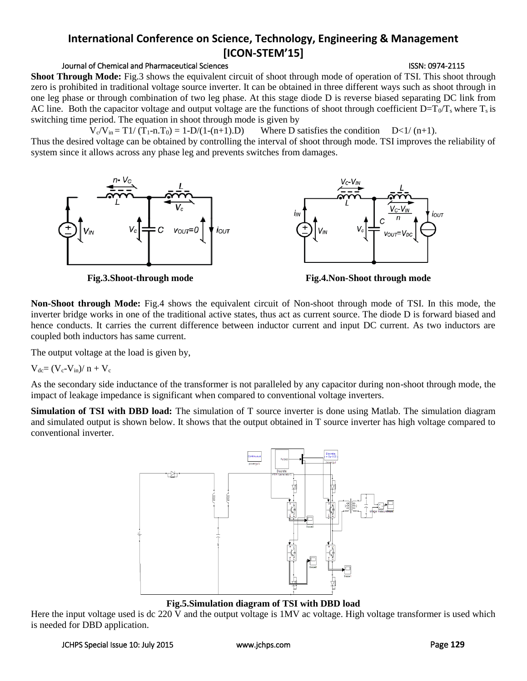### Journal of Chemical and Pharmaceutical Sciences ISSN: 0974-2115

іоит

**Shoot Through Mode:** Fig.3 shows the equivalent circuit of shoot through mode of operation of TSI. This shoot through zero is prohibited in traditional voltage source inverter. It can be obtained in three different ways such as shoot through in one leg phase or through combination of two leg phase. At this stage diode D is reverse biased separating DC link from AC line. Both the capacitor voltage and output voltage are the functions of shoot through coefficient  $D=T_0/T_s$  where  $T_s$  is switching time period. The equation in shoot through mode is given by

 $V_c/V_{in} = T1/(T_1 - nT_0) = 1 - D/(1-(n+1).D)$  Where D satisfies the condition  $D < 1/(n+1)$ .

Thus the desired voltage can be obtained by controlling the interval of shoot through mode. TSI improves the reliability of system since it allows across any phase leg and prevents switches from damages.



**Fig.3.Shoot-through mode Fig.4.Non-Shoot through mode**

**Non-Shoot through Mode:** Fig.4 shows the equivalent circuit of Non-shoot through mode of TSI. In this mode, the inverter bridge works in one of the traditional active states, thus act as current source. The diode D is forward biased and hence conducts. It carries the current difference between inductor current and input DC current. As two inductors are coupled both inductors has same current.

The output voltage at the load is given by,

 $V_{dc} = (V_c - V_{in})/n + V_c$ 

As the secondary side inductance of the transformer is not paralleled by any capacitor during non-shoot through mode, the impact of leakage impedance is significant when compared to conventional voltage inverters.

**Simulation of TSI with DBD load:** The simulation of T source inverter is done using Matlab. The simulation diagram and simulated output is shown below. It shows that the output obtained in T source inverter has high voltage compared to conventional inverter.



**Fig.5.Simulation diagram of TSI with DBD load**

Here the input voltage used is dc 220 V and the output voltage is 1MV ac voltage. High voltage transformer is used which is needed for DBD application.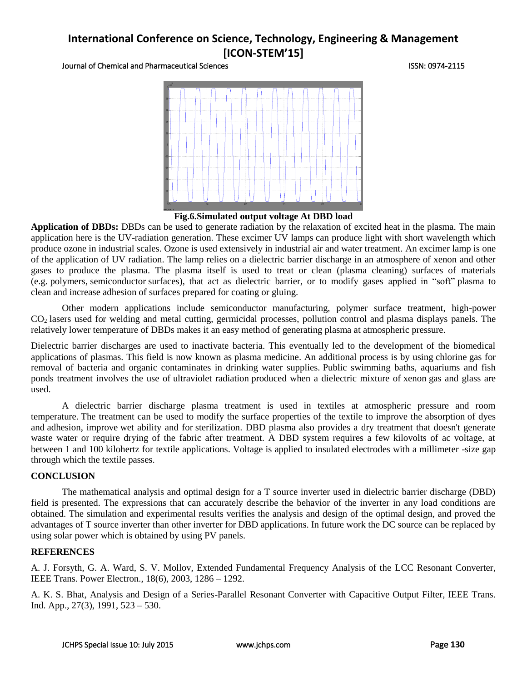Journal of Chemical and Pharmaceutical Sciences ISSN: 0974-2115



### **Fig.6.Simulated output voltage At DBD load**

**Application of DBDs:** DBDs can be used to generate radiation by the relaxation of excited heat in the plasma. The main application here is the UV-radiation generation. These [excimer UV lamps](http://en.wikipedia.org/wiki/Excimer_lamp) can produce light with short wavelength which produce [ozone](http://en.wikipedia.org/wiki/Ozone) in industrial scales. Ozone is used extensively in industrial air and water treatment. An [excimer lamp](http://en.wikipedia.org/wiki/Excimer_lamp) is one of the application of UV radiation. The lamp relies on a dielectric barrier discharge in an atmosphere of xenon and other gases to produce the plasma. The plasma itself is used to treat or clean [\(plasma cleaning\)](http://en.wikipedia.org/wiki/Plasma_cleaning) surfaces of materials (e.g. [polymers,](http://en.wikipedia.org/wiki/Polymers) [semiconductor](http://en.wikipedia.org/wiki/Semiconductor) surfaces), that act as dielectric barrier, or to modify gases applied in "soft" plasma to clean and increase [adhesion](http://en.wikipedia.org/wiki/Adhesion) of surfaces prepared for coating or gluing.

Other modern applications include semiconductor manufacturing, polymer surface treatment, high-power CO<sup>2</sup> lasers used for welding and metal cutting, germicidal processes, pollution control and [plasma displays panels.](http://en.wikipedia.org/wiki/Plasma_display) The relatively lower temperature of DBDs makes it an easy method of generating plasma at atmospheric pressure.

Dielectric barrier discharges are used to inactivate bacteria. This eventually led to the development of the biomedical applications of plasmas. This field is now known as [plasma medicine.](http://en.wikipedia.org/wiki/Plasma_medicine) An additional process is by using [chlorine](http://en.wikipedia.org/wiki/Chlorine) gas for removal of bacteria and organic contaminates in drinking water supplies. Public swimming baths, aquariums and fish ponds treatment involves the use of [ultraviolet radiation](http://en.wikipedia.org/wiki/Ultraviolet_radiation) produced when a dielectric mixture of [xenon](http://en.wikipedia.org/wiki/Xenon) gas and glass are used.

A dielectric barrier discharge plasma treatment is used in textiles at atmospheric pressure and room temperature. The treatment can be used to modify the surface properties of the textile to improve the [absorption](http://en.wikipedia.org/wiki/Absorption_(chemistry)) of dyes and [adhesion,](http://en.wikipedia.org/wiki/Adhesion) improve [wet ability](http://en.wikipedia.org/wiki/Wettability) and for [sterilization.](http://en.wikipedia.org/wiki/Sterilization) DBD plasma also provides a dry treatment that doesn't generate waste water or require drying of the fabric after treatment. A DBD system requires a few kilovolts of ac voltage, at between 1 and 100 kilohertz for textile applications. Voltage is applied to insulated electrodes with a millimeter -size gap through which the textile passes.

### **CONCLUSION**

The mathematical analysis and optimal design for a T source inverter used in dielectric barrier discharge (DBD) field is presented. The expressions that can accurately describe the behavior of the inverter in any load conditions are obtained. The simulation and experimental results verifies the analysis and design of the optimal design, and proved the advantages of T source inverter than other inverter for DBD applications. In future work the DC source can be replaced by using solar power which is obtained by using PV panels.

### **REFERENCES**

A. J. Forsyth, G. A. Ward, S. V. Mollov, Extended Fundamental Frequency Analysis of the LCC Resonant Converter, IEEE Trans. Power Electron., 18(6), 2003, 1286 – 1292.

A. K. S. Bhat, Analysis and Design of a Series-Parallel Resonant Converter with Capacitive Output Filter, IEEE Trans. Ind. App., 27(3), 1991, 523 – 530.